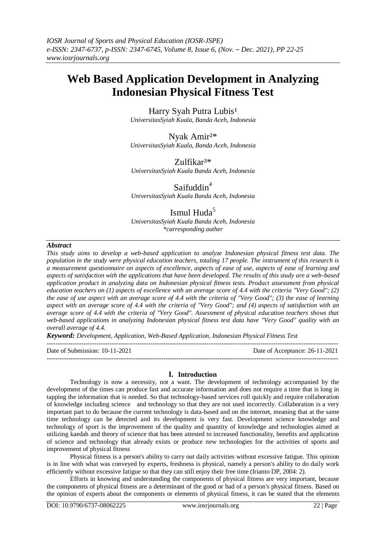# **Web Based Application Development in Analyzing Indonesian Physical Fitness Test**

Harry Syah Putra Lubis<sup>1</sup> *UniversitasSyiah Kuala, Banda Aceh, Indonesia*

Nyak Amir²\* *UniversitasSyiah Kuala, Banda Aceh, Indonesia*

Zulfikar<sup>3\*</sup> *UniversitasSyiah Kuala Banda Aceh, Indonesia*

Saifuddin<sup>4</sup> *UniversitasSyiah Kuala Banda Aceh, Indonesia*

# Ismul Huda $5$

*UniversitasSyiah Kuala Banda Aceh, Indonesia \*carresponding auther*

# *Abstract*

*This study aims to develop a web-based application to analyze Indonesian physical fitness test data. The population in the study were physical education teachers, totaling 17 people. The instrument of this research is a measurement questionnaire on aspects of excellence, aspects of ease of use, aspects of ease of learning and aspects of satisfaction with the applications that have been developed. The results of this study are a web-based application product in analyzing data on Indonesian physical fitness tests. Product assessment from physical education teachers on (1) aspects of excellence with an average score of 4.4 with the criteria "Very Good"; (2) the ease of use aspect with an average score of 4.4 with the criteria of "Very Good"; (3) the ease of learning aspect with an average score of 4.4 with the criteria of "Very Good"; and (4) aspects of satisfaction with an average score of 4.4 with the criteria of "Very Good". Assessment of physical education teachers shows that web-based applications in analyzing Indonesian physical fitness test data have "Very Good" quality with an overall average of 4.4.*

*Keyword: Development, Application, Web-Based Application, Indonesian Physical Fitness Test*

| Date of Submission: 10-11-2021 | Date of Acceptance: 26-11-2021 |
|--------------------------------|--------------------------------|
|                                |                                |

# **I. Introduction**

Technology is now a necessity, not a want. The development of technology accompanied by the development of the times can produce fast and accurate information and does not require a time that is long in tapping the information that is needed. So that technology-based services roll quickly and require collaboration of knowledge including science and technology so that they are not used incorrectly. Collaboration is a very important part to do because the current technology is data-based and on the internet, meaning that at the same time technology can be detected and its development is very fast. Development science knowledge and technology of sport is the improvement of the quality and quantity of knowledge and technologies aimed at utilizing kaedah and theory of science that has been attested to increased functionality, benefits and application of science and technology that already exists or produce new technologies for the activities of sports and improvement of physical fitness

Physical fitness is a person's ability to carry out daily activities without excessive fatigue. This opinion is in line with what was conveyed by experts, freshness is physical, namely a person's ability to do daily work efficiently without excessive fatigue so that they can still enjoy their free time (Irianto DP, 2004: 2).

Efforts in knowing and understanding the components of physical fitness are very important, because the components of physical fitness are a determinant of the good or bad of a person's physical fitness. Based on the opinion of experts about the components or elements of physical fitness, it can be stated that the elements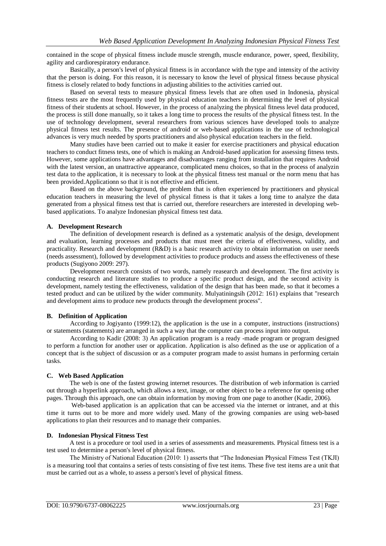contained in the scope of physical fitness include muscle strength, muscle endurance, power, speed, flexibility, agility and cardiorespiratory endurance.

Basically, a person's level of physical fitness is in accordance with the type and intensity of the activity that the person is doing. For this reason, it is necessary to know the level of physical fitness because physical fitness is closely related to body functions in adjusting abilities to the activities carried out.

Based on several tests to measure physical fitness levels that are often used in Indonesia, physical fitness tests are the most frequently used by physical education teachers in determining the level of physical fitness of their students at school. However, in the process of analyzing the physical fitness level data produced, the process is still done manually, so it takes a long time to process the results of the physical fitness test. In the use of technology development, several researchers from various sciences have developed tools to analyze physical fitness test results. The presence of android or web-based applications in the use of technological advances is very much needed by sports practitioners and also physical education teachers in the field.

Many studies have been carried out to make it easier for exercise practitioners and physical education teachers to conduct fitness tests, one of which is making an Android-based application for assessing fitness tests. However, some applications have advantages and disadvantages ranging from installation that requires Android with the latest version, an unattractive appearance, complicated menu choices, so that in the process of analyzin test data to the application, it is necessary to look at the physical fitness test manual or the norm menu that has been provided.Applicationn so that it is not effective and efficient.

Based on the above background, the problem that is often experienced by practitioners and physical education teachers in measuring the level of physical fitness is that it takes a long time to analyze the data generated from a physical fitness test that is carried out, therefore researchers are interested in developing webbased applications. To analyze Indonesian physical fitness test data.

## **A. Development Research**

The definition of development research is defined as a systematic analysis of the design, development and evaluation, learning processes and products that must meet the criteria of effectiveness, validity, and practicality. Research and development (R&D) is a basic research activity to obtain information on user needs (needs assessment), followed by development activities to produce products and assess the effectiveness of these products (Sugiyono 2009: 297).

Development research consists of two words, namely reasearch and development. The first activity is conducting research and literature studies to produce a specific product design, and the second activity is development, namely testing the effectiveness, validation of the design that has been made, so that it becomes a tested product and can be utilized by the wider community. Mulyatiningsih (2012: 161) explains that "research and development aims to produce new products through the development process".

#### **B. Definition of Application**

According to Jogiyanto (1999:12), the application is the use in a computer, instructions (instructions) or statements (statements) are arranged in such a way that the computer can process input into output.

According to Kadir (2008: 3) An application program is a ready -made program or program designed to perform a function for another user or application. Application is also defined as the use or application of a concept that is the subject of discussion or as a computer program made to assist humans in performing certain tasks.

#### **C. Web Based Application**

The web is one of the fastest growing internet resources. The distribution of web information is carried out through a hyperlink approach, which allows a text, image, or other object to be a reference for opening other pages. Through this approach, one can obtain information by moving from one page to another (Kadir, 2006).

Web-based application is an application that can be accessed via the internet or intranet, and at this time it turns out to be more and more widely used. Many of the growing companies are using web-based applications to plan their resources and to manage their companies.

#### **D. Indonesian Physical Fitness Test**

A test is a procedure or tool used in a series of assessments and measurements. Physical fitness test is a test used to determine a person's level of physical fitness.

The Ministry of National Education (2010: 1) asserts that "The Indonesian Physical Fitness Test (TKJI) is a measuring tool that contains a series of tests consisting of five test items. These five test items are a unit that must be carried out as a whole, to assess a person's level of physical fitness.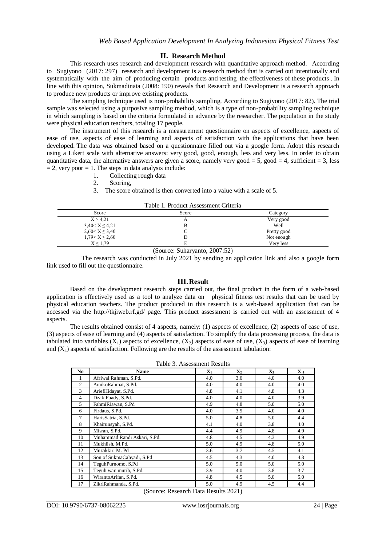# **II. Research Method**

This research uses research and development research with quantitative approach method. According to Sugiyono (2017: 297) research and development is a research method that is carried out intentionally and systematically with the aim of producing certain products and testing the effectiveness of these products . In line with this opinion, Sukmadinata (2008: 190) reveals that Research and Development is a research approach to produce new products or improve existing products.

The sampling technique used is non-probability sampling. According to Sugiyono (2017: 82). The trial sample was selected using a purposive sampling method, which is a type of non-probability sampling technique in which sampling is based on the criteria formulated in advance by the researcher. The population in the study were physical education teachers, totaling 17 people.

The instrument of this research is a measurement questionnaire on aspects of excellence, aspects of ease of use, aspects of ease of learning and aspects of satisfaction with the applications that have been developed. The data was obtained based on a questionnaire filled out via a google form. Adopt this research using a Likert scale with alternative answers: very good, good, enough, less and very less. In order to obtain quantitative data, the alternative answers are given a score, namely very good = 5, good = 4, sufficient = 3, less  $= 2$ , very poor  $= 1$ . The steps in data analysis include:

- 1. Collecting rough data<br>2. Scoring
- Scoring,
- 3. The score obtained is then converted into a value with a scale of 5.

| Table 1. Product Assessment Criteria |  |  |  |  |  |
|--------------------------------------|--|--|--|--|--|
|--------------------------------------|--|--|--|--|--|

|                      | 1 acie 1:11 caust i Issocsitivite Checkin |             |
|----------------------|-------------------------------------------|-------------|
| Score                | Score                                     | Category    |
| X > 4,21             |                                           | Very good   |
| $3,40 < X \leq 4,21$ |                                           | Well        |
| $2,60 < X \leq 3,40$ |                                           | Pretty good |
| $1,79 < X \le 2,60$  |                                           | Not enough  |
| X < 1.79             |                                           | Very less   |

(Source: Suharyanto, 2007:52)

The research was conducted in July 2021 by sending an application link and also a google form link used to fill out the questionnaire.

## **III.Result**

Based on the development research steps carried out, the final product in the form of a web-based application is effectively used as a tool to analyze data on physical fitness test results that can be used by physical education teachers. The product produced in this research is a web-based application that can be accessed via the http://tkjiweb.rf.gd/ page. This product assessment is carried out with an assessment of 4 aspects.

The results obtained consist of 4 aspects, namely: (1) aspects of excellence, (2) aspects of ease of use, (3) aspects of ease of learning and (4) aspects of satisfaction. To simplify the data processing process, the data is tabulated into variables  $(X_1)$  aspects of excellence,  $(X_2)$  aspects of ease of use,  $(X_3)$  aspects of ease of learning and  $(X_4)$  aspects of satisfaction. Following are the results of the assessment tabulation:

Table 3. Assessment Results

| No             | <b>Name</b>                  | $\mathbf{X}_1$ | $\mathbf{X}_2$ | $\mathbf{X}_3$ | $X_4$ |
|----------------|------------------------------|----------------|----------------|----------------|-------|
|                | Afriwal Rahman, S.Pd.        | 4.0            | 3.6            | 4.0            | 4.0   |
| 2              | AraikoRahmat, S.Pd.          | 4.0            | 4.0            | 4.0            | 4.0   |
| 3              | AriefHidayat, S.Pd.          | 4.8            | 4.1            | 4.8            | 4.3   |
| $\overline{4}$ | DzakiFuady, S.Pd.            | 4.0            | 4.0            | 4.0            | 3.9   |
| 5              | FahmiRiawan, S.Pd            | 4.9            | 4.8            | 5.0            | 5.0   |
| 6              | Firdaus, S.Pd.               | 4.0            | 3.5            | 4.0            | 4.0   |
| $\tau$         | HarisSatria, S.Pd.           | 5.0            | 4.8            | 5.0            | 4.4   |
| 8              | Khairunsyah, S.Pd.           | 4.1            | 4.0            | 3.8            | 4.0   |
| 9              | Misran, S.Pd.                | 4.4            | 4.9            | 4.8            | 4.9   |
| 10             | Muhammad Randi Askari, S.Pd. | 4.8            | 4.5            | 4.3            | 4.9   |
| 11             | Mukhlish, M.Pd.              | 5.0            | 4.9            | 4.8            | 5.0   |
| 12             | Muzakkir, M. Pd              | 3.6            | 3.7            | 4.5            | 4.1   |
| 13             | Son of SukmaCahyadi, S.Pd    | 4.5            | 4.3            | 4.0            | 4.3   |
| 14             | TeguhPurnomo, S.Pd           | 5.0            | 5.0            | 5.0            | 5.0   |
| 15             | Teguh wan murib, S.Pd.       | 3.9            | 4.0            | 3.8            | 3.7   |
| 16             | WirantoArifan, S.Pd.         | 4.8            | 4.5            | 5.0            | 5.0   |
| 17             | ZikriRahmanda, S.Pd.         | 5.0            | 4.9            | 4.5            | 4.4   |

(Source: Research Data Results 2021)